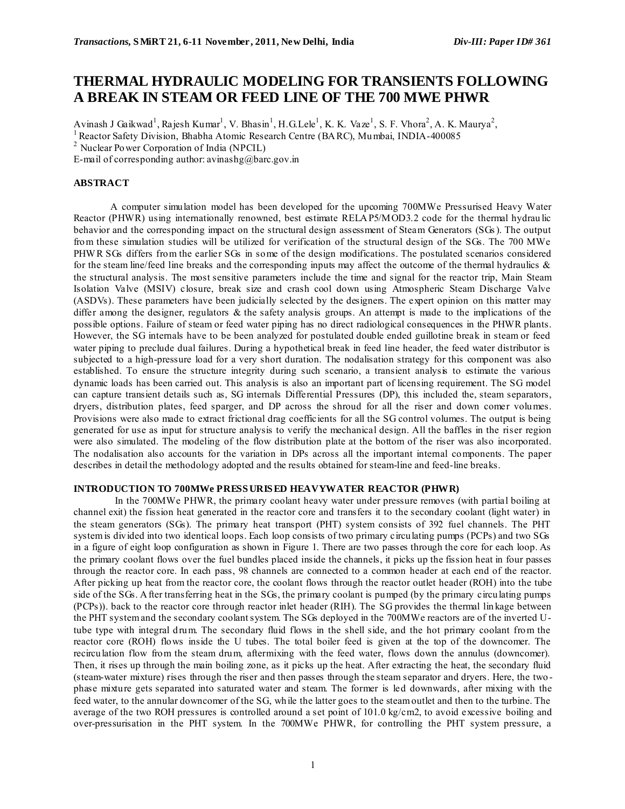# **THERMAL HYDRAULIC MODELING FOR TRANSIENTS FOLLOWING A BREAK IN STEAM OR FEED LINE OF THE 700 MWE PHWR**

Avinash J Gaikwad<sup>1</sup>, Rajesh Kumar<sup>1</sup>, V. Bhasin<sup>1</sup>, H.G.Lele<sup>1</sup>, K. K. Vaze<sup>1</sup>, S. F. Vhora<sup>2</sup>, A. K. Maurya<sup>2</sup>,

 $1$ Reactor Safety Division, Bhabha Atomic Research Centre (BARC), Mumbai, INDIA-400085

<sup>2</sup> Nuclear Power Corporation of India (NPCIL)

E-mail of corresponding author: avinashg@barc.gov.in

## **ABSTRACT**

A computer simulation model has been developed for the upcoming 700MWe Pressurised Heavy Water Reactor (PHWR) using internationally renowned, best estimate RELAP5/MOD3.2 code for the thermal hydrau lic behavior and the corresponding impact on the structural design assessment of Steam Generators (SGs ). The output from these simulation studies will be utilized for verification of the structural design of the SGs. The 700 MWe PHW R SGs differs from the earlier SGs in some of the design modifications. The postulated scenarios considered for the steam line/feed line breaks and the corresponding inputs may affect the outcome of the thermal hydraulics  $\&$ the structural analysis. The most sensitive parameters include the time and signal for the reactor trip, Main Steam Isolation Valve (MSIV) closure, break size and crash cool down using Atmospheric Steam Discharge Valve (ASDVs). These parameters have been judicially selected by the designers. The expert opinion on this matter may differ among the designer, regulators  $\&$  the safety analysis groups. An attempt is made to the implications of the possible options. Failure of steam or feed water piping has no direct radiological consequences in the PHWR plants. However, the SG internals have to be been analyzed for postulated double ended guillotine break in steam or feed water piping to preclude dual failures. During a hypothetical break in feed line header, the feed water distributor is subjected to a high-pressure load for a very short duration. The nodalisation strategy for this component was also established. To ensure the structure integrity during such scenario, a transient analysis to estimate the various dynamic loads has been carried out. This analysis is also an important part of licensing requirement. The SG model can capture transient details such as, SG internals Differential Pressures (DP), this included the, steam separators, dryers, distribution plates, feed sparger, and DP across the shroud for all the riser and down comer volumes. Provisions were also made to extract frictional drag coefficients for all the SG control volumes. The output is being generated for use as input for structure analysis to verify the mechanical design. All the baffles in the riser region were also simulated. The modeling of the flow distribution plate at the bottom of the riser was also incorporated. The nodalisation also accounts for the variation in DPs across all the important internal components. The paper describes in detail the methodology adopted and the results obtained for steam-line and feed-line breaks.

# **INTRODUCTION TO 700MWe PRESS URIS ED HEAVYWATER REACTOR (PHWR)**

 In the 700MWe PHWR, the primary coolant heavy water under pressure removes (with partial boiling at channel exit) the fission heat generated in the reactor core and transfers it to the secondary coolant (light water) in the steam generators (SGs). The primary heat transport (PHT) system consists of 392 fuel channels. The PHT system is divided into two identical loops. Each loop consists of two primary circulating pumps (PCPs) and two SGs in a figure of eight loop configuration as shown in Figure 1. There are two passes through the core for each loop. As the primary coolant flows over the fuel bundles placed inside the channels, it picks up the fission heat in four passes through the reactor core. In each pass, 98 channels are connected to a common header at each end of the reactor. After picking up heat from the reactor core, the coolant flows through the reactor outlet header (ROH) into the tube side of the SGs. After transferring heat in the SGs, the primary coolant is pumped (by the primary circulating pumps (PCPs)). back to the reactor core through reactor inlet header (RIH). The SG provides the thermal lin kage between the PHT system and the secondary coolant system. The SGs deployed in the 700MWe reactors are of the inverted Utube type with integral drum. The secondary fluid flows in the shell side, and the hot primary coolant from the reactor core (ROH) flows inside the U tubes. The total boiler feed is given at the top of the downcomer. The recirculation flow from the steam drum, aftermixing with the feed water, flows down the annulus (downcomer). Then, it rises up through the main boiling zone, as it picks up the heat. After extracting the heat, the secondary fluid (steam-water mixture) rises through the riser and then passes through the steam separator and dryers. Here, the two phase mixture gets separated into saturated water and steam. The former is led downwards, after mixing with the feed water, to the annular downcomer of the SG, while the latter goes to the steam outlet and then to the turbine. The average of the two ROH pressures is controlled around a set point of 101.0 kg/cm2, to avoid excessive boiling and over-pressurisation in the PHT system. In the 700MWe PHWR, for controlling the PHT system pressure, a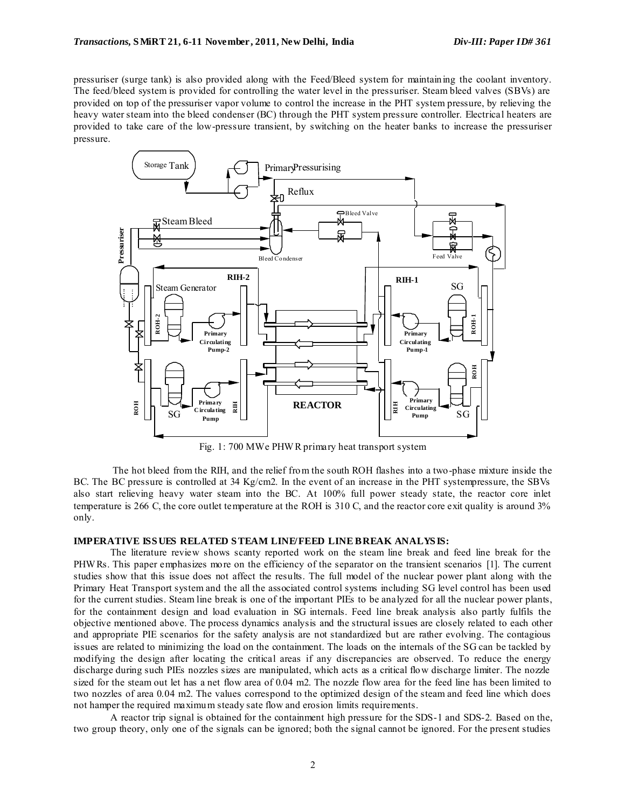pressuriser (surge tank) is also provided along with the Feed/Bleed system for maintaining the coolant inventory. The feed/bleed system is provided for controlling the water level in the pressuriser. Steam bleed valves (SBVs) are provided on top of the pressuriser vapor volume to control the increase in the PHT system pressure, by relieving the heavy water steam into the bleed condenser (BC) through the PHT system pressure controller. Electrical heaters are provided to take care of the low-pressure transient, by switching on the heater banks to increase the pressuriser pressure.



Fig. 1: 700 MWe PHW R primary heat transport system

 The hot bleed from the RIH, and the relief from the south ROH flashes into a two-phase mixture inside the BC. The BC pressure is controlled at 34 Kg/cm2. In the event of an increase in the PHT systempressure, the SBVs also start relieving heavy water steam into the BC. At 100% full power steady state, the reactor core inlet temperature is 266 C, the core outlet temperature at the ROH is 310 C, and the reactor core exit quality is around 3% only.

#### **IMPERATIVE ISS UES RELATED S TEAM LINE/FEED LINE BREAK ANALYS IS:**

The literature review shows scanty reported work on the steam line break and feed line break for the PHW Rs. This paper emphasizes more on the efficiency of the separator on the transient scenarios [1]. The current studies show that this issue does not affect the results. The full model of the nuclear power plant along with the Primary Heat Transport system and the all the associated control systems including SG level control has been used for the current studies. Steam line break is one of the important PIEs to be analyzed for all the nuclear power plants, for the containment design and load evaluation in SG internals. Feed line break analysis also partly fulfils the objective mentioned above. The process dynamics analysis and the structural issues are closely related to each other and appropriate PIE scenarios for the safety analysis are not standardized but are rather evolving. The contagious issues are related to minimizing the load on the containment. The loads on the internals of the SG can be tackled by modifying the design after locating the critical areas if any discrepancies are observed. To reduce the energy discharge during such PIEs nozzles sizes are manipulated, which acts as a critical flow discharge limiter. The nozzle sized for the steam out let has a net flow area of 0.04 m2. The nozzle flow area for the feed line has been limited to two nozzles of area 0.04 m2. The values correspond to the optimized design of the steam and feed line which does not hamper the required maximum steady sate flow and erosion limits requirements.

A reactor trip signal is obtained for the containment high pressure for the SDS-1 and SDS-2. Based on the, two group theory, only one of the signals can be ignored; both the signal cannot be ignored. For the present studies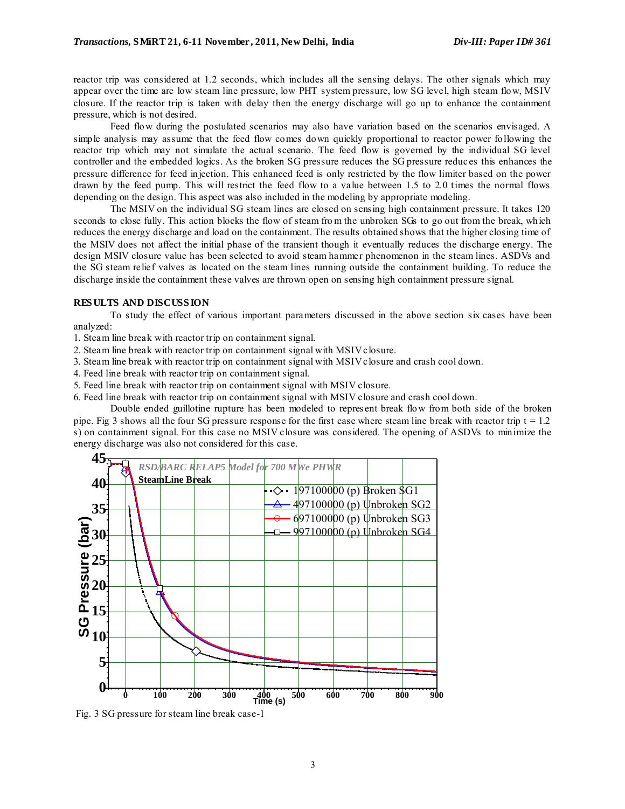reactor trip was considered at 1.2 seconds, which includes all the sensing delays. The other signals which may appear over the time are low steam line pressure, low PHT system pressure, low SG level, high steam flow, MSIV closure. If the reactor trip is taken with delay then the energy discharge will go up to enhance the containment pressure, which is not desired.

Feed flow during the postulated scenarios may also have variation based on the scenarios envisaged. A simple analysis may assume that the feed flow comes down quickly proportional to reactor power following the reactor trip which may not simulate the actual scenario. The feed flow is governed by the individual SG level controller and the embedded logics. As the broken SG pressure reduces the SG pressure reduc es this enhances the pressure difference for feed injection. This enhanced feed is only restricted by the flow limiter based on the power drawn by the feed pump. This will restrict the feed flow to a value between 1.5 to 2.0 times the normal flows depending on the design. This aspect was also included in the modeling by appropriate modeling.

The MSIV on the individual SG steam lines are closed on sensing high containment pressure. It takes 120 seconds to close fully. This action blocks the flow of steam from the unbroken SGs to go out from the break, which reduces the energy discharge and load on the containment. The results obtained shows that the higher closing time of the MSIV does not affect the initial phase of the transient though it eventually reduces the discharge energy. The design MSIV closure value has been selected to avoid steam hammer phenomenon in the steam lines. ASDVs and the SG steam relief valves as located on the steam lines running outside the containment building. To reduce the discharge inside the containment these valves are thrown open on sensing high containment pressure signal.

#### **RES ULTS AND DISCUSS ION**

To study the effect of various important parameters discussed in the above section six cases have been analyzed:

1. Steam line break with reactor trip on containment signal.

- 2. Steam line break with reactor trip on containment signal with MSIV closure.
- 3. Steam line break with reactor trip on containment signal with MSIV closure and crash cool down.
- 4. Feed line break with reactor trip on containment signal.
- 5. Feed line break with reactor trip on containment signal with MSIV closure.
- 6. Feed line break with reactor trip on containment signal with MSIV closure and crash cool down.

Double ended guillotine rupture has been modeled to repres ent break flow from both side of the broken pipe. Fig 3 shows all the four SG pressure response for the first case where steam line break with reactor trip  $t = 1.2$ s) on containment signal. For this case no MSIV closure was considered. The opening of ASDVs to minimize the energy discharge was also not considered for this case.



Fig. 3 SG pressure for steam line break case-1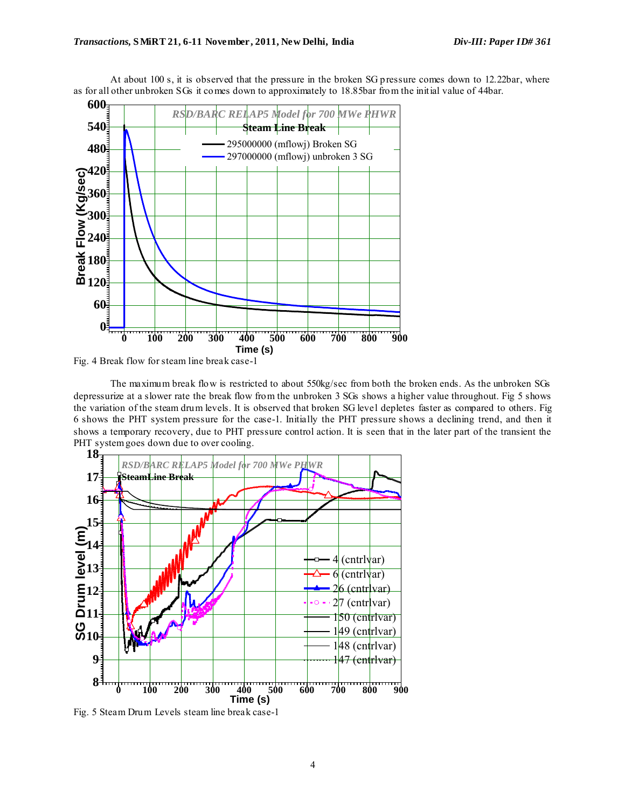

At about 100 s, it is observed that the pressure in the broken SG pressure comes down to 12.22bar, where as for all other unbroken SGs it comes down to approximately to 18.85bar from the initial value of 44bar.

The maximum break flow is restricted to about 550kg/sec from both the broken ends. As the unbroken SGs depressurize at a slower rate the break flow from the unbroken 3 SGs shows a higher value throughout. Fig 5 shows the variation of the steam drum levels. It is observed that broken SG level depletes faster as compared to others. Fig 6 shows the PHT system pressure for the case-1. Initially the PHT pressure shows a declining trend, and then it shows a temporary recovery, due to PHT pressure control action. It is seen that in the later part of the transient the PHT system goes down due to over cooling.



Fig. 5 Steam Drum Levels steam line break case-1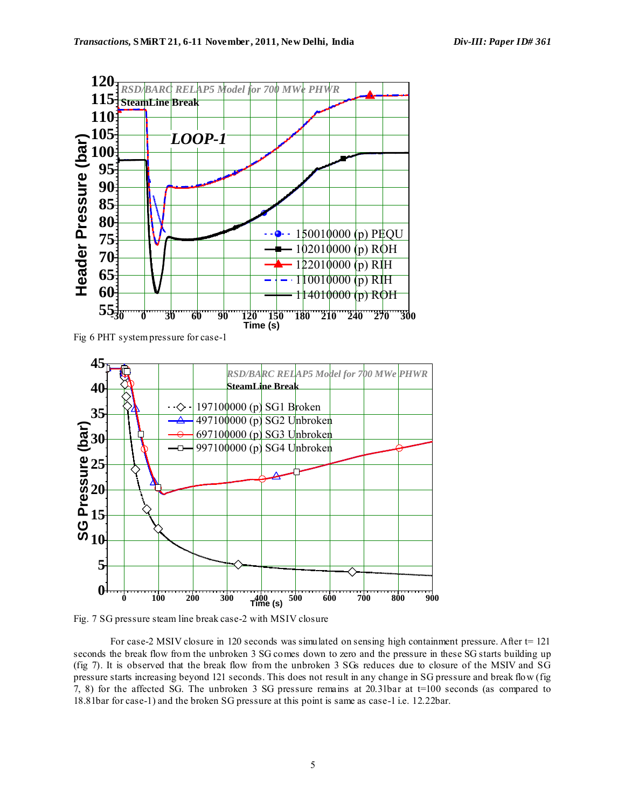

Fig 6 PHT system pressure for case-1



Fig. 7 SG pressure steam line break case-2 with MSIV closure

For case-2 MSIV closure in 120 seconds was simulated on sensing high containment pressure. After t= 121 seconds the break flow from the unbroken 3 SG comes down to zero and the pressure in these SG starts building up (fig 7). It is observed that the break flow from the unbroken 3 SGs reduces due to closure of the MSIV and SG pressure starts increasing beyond 121 seconds. This does not result in any change in SG pressure and break flow (fig 7, 8) for the affected SG. The unbroken 3 SG pressure remains at 20.31bar at t=100 seconds (as compared to 18.81bar for case-1) and the broken SG pressure at this point is same as case-1 i.e. 12.22bar.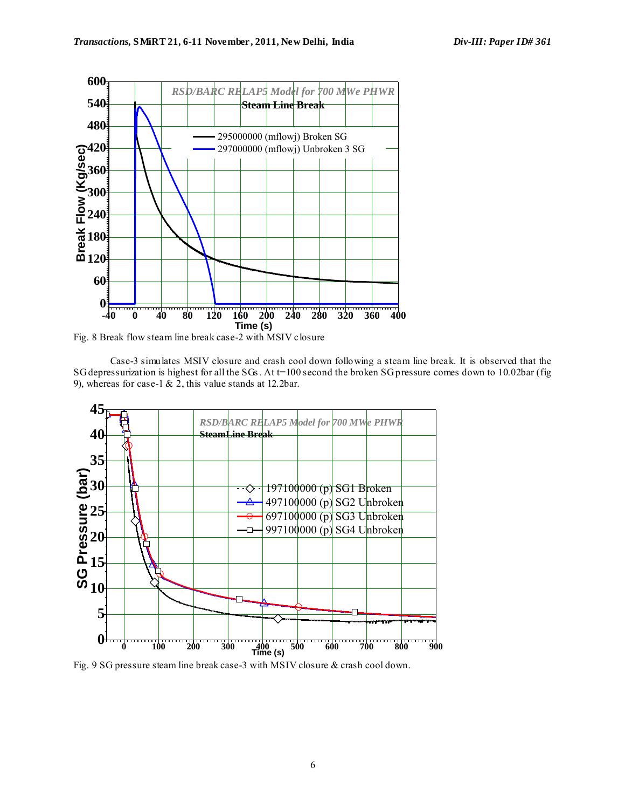

Fig. 8 Break flow steam line break case-2 with MSIV closure

Case-3 simulates MSIV closure and crash cool down following a steam line break. It is observed that the SG depressurization is highest for all the SGs . At t=100 second the broken SG pressure comes down to 10.02bar (fig 9), whereas for case-1  $\&$  2, this value stands at 12.2bar.



Fig. 9 SG pressure steam line break case-3 with MSIV closure & crash cool down.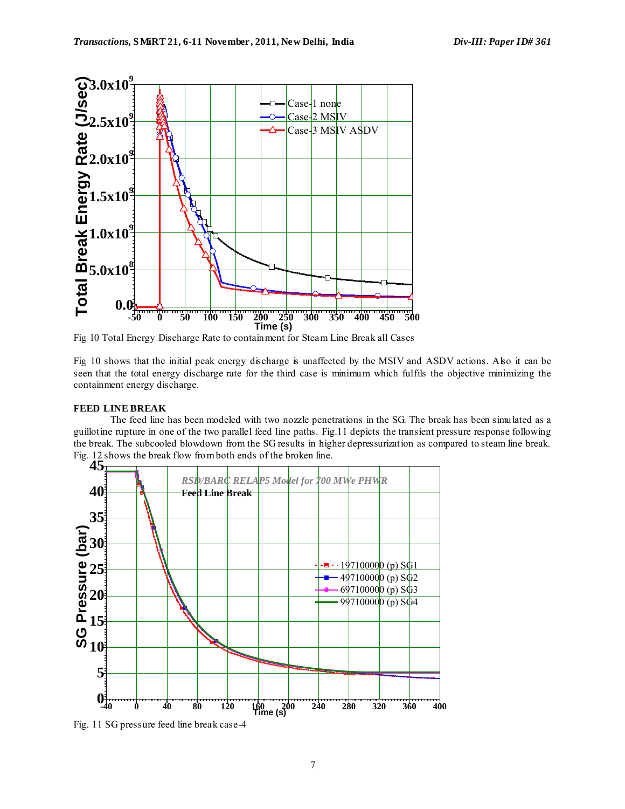

Fig 10 Total Energy Discharge Rate to containment for Steam Line Break all Cases

Fig 10 shows that the initial peak energy discharge is unaffected by the MSIV and ASDV actions. Also it can be seen that the total energy discharge rate for the third case is minimum which fulfils the objective minimizing the containment energy discharge.

# **FEED LINE BREAK**

The feed line has been modeled with two nozzle penetrations in the SG. The break has been simulated as a guillotine rupture in one of the two parallel feed line paths. Fig.11 depicts the transient pressure response following the break. The subcooled blowdown from the SG results in higher depressurization as compared to steam line break. Fig. 12 shows the break flow from both ends of the broken line.



Fig. 11 SG pressure feed line break case-4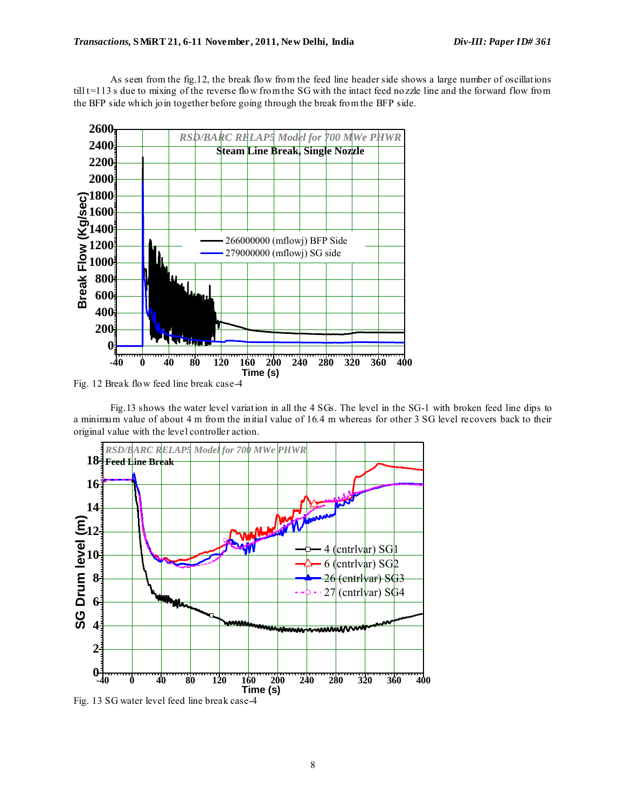As seen from the fig.12, the break flow from the feed line header side shows a large number of oscillations  $t$ ill  $t=113$  s due to mixing of the reverse flow from the SG with the intact feed nozzle line and the forward flow from the BFP side which join together before going through the break from the BFP side.



Fig.13 shows the water level variation in all the 4 SGs. The level in the SG-1 with broken feed line dips to a minimum value of about 4 m from the initial value of 16.4 m whereas for other 3 SG level recovers back to their original value with the level controller action.



Fig. 13 SG water level feed line break case-4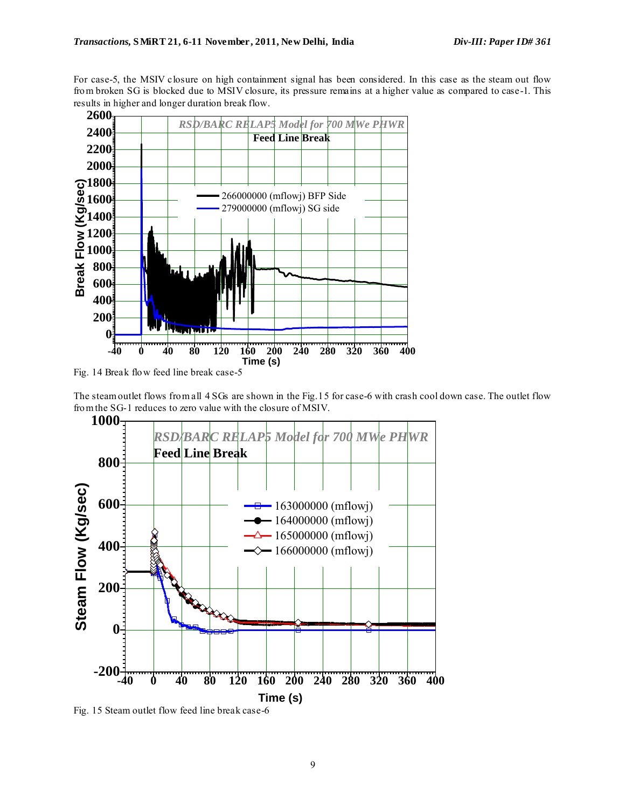For case-5, the MSIV closure on high containment signal has been considered. In this case as the steam out flow from broken SG is blocked due to MSIV closure, its pressure remains at a higher value as compared to case-1. This results in higher and longer duration break flow.



Fig. 14 Break flow feed line break case-5

The steam outlet flows from all 4 SGs are shown in the Fig.15 for case-6 with crash cool down case. The outlet flow from the SG-1 reduces to zero value with the closure of MSIV.



Fig. 15 Steam outlet flow feed line break case-6